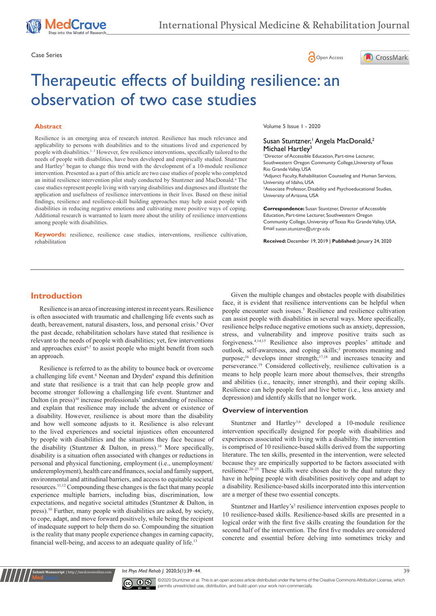





# Therapeutic effects of building resilience: an observation of two case studies

#### **Abstract**

Resilience is an emerging area of research interest. Resilience has much relevance and applicability to persons with disabilities and to the situations lived and experienced by people with disabilities.1–3 However, few resilience interventions, specifically tailored to the needs of people with disabilities, have been developed and empirically studied. Stuntzner and Hartley<sup>3</sup> began to change this trend with the development of a 10-module resilience intervention. Presented as a part of this article are two case studies of people who completed an initial resilience intervention pilot study conducted by Stuntzner and MacDonald.4 The case studies represent people living with varying disabilities and diagnoses and illustrate the application and usefulness of resilience interventions in their lives. Based on these initial findings, resilience and resilience-skill building approaches may help assist people with disabilities in reducing negative emotions and cultivating more positive ways of coping. Additional research is warranted to learn more about the utility of resilience interventions among people with disabilities.

**Keywords:** resilience, resilience case studies, interventions, resilience cultivation, rehabilitation

Volume 5 Issue 1 - 2020

#### Susan Stuntzner,<sup>1</sup> Angela MacDonald,<sup>2</sup> Michael Hartley<sup>3</sup>

1 Director of Accessible Education, Part-time Lecturer, Southwestern Oregon Community College,University of Texas Rio Grande Valley, USA 2 Adjunct Faculty, Rehabilitation Counseling and Human Services, University of Idaho, USA <sup>3</sup> Associate Professor, Disability and Psychoeducational Studies, University of Arizona, USA

**Correspondence:** Susan Stuntzner, Director of Accessible Education, Part-time Lecturer, Southwestern Oregon Community College, University of Texas Rio Grande Valley, USA, Email susan.stuntzne@utrgv.edu

**Received:** December 19, 2019 | **Published:** January 24, 2020

# **Introduction**

Resilience is an area of increasing interest in recent years. Resilience is often associated with traumatic and challenging life events such as death, bereavement, natural disasters, loss, and personal crisis.<sup>5</sup> Over the past decade, rehabilitation scholars have stated that resilience is relevant to the needs of people with disabilities; yet, few interventions and approaches exist<sup> $6,7$ </sup> to assist people who might benefit from such an approach.

Resilience is referred to as the ability to bounce back or overcome a challenging life event.<sup>8</sup> Neenan and Dryden<sup>9</sup> expand this definition and state that resilience is a trait that can help people grow and become stronger following a challenging life event. Stuntzner and Dalton (in press)<sup>10</sup> increase professionals' understanding of resilience and explain that resilience may include the advent or existence of a disability. However, resilience is about more than the disability and how well someone adjusts to it. Resilience is also relevant to the lived experiences and societal injustices often encountered by people with disabilities and the situations they face because of the disability (Stuntzner & Dalton, in press).<sup>10</sup> More specifically, disability is a situation often associated with changes or reductions in personal and physical functioning, employment (i.e., unemployment/ underemployment), health care and finances, social and family support, environmental and attitudinal barriers, and access to equitable societal resources.11,12 Compounding these changes is the fact that many people experience multiple barriers, including bias, discrimination, low expectations, and negative societal attitudes (Stuntzner & Dalton, in press).10 Further, many people with disabilities are asked, by society, to cope, adapt, and move forward positively, while being the recipient of inadequate support to help them do so. Compounding the situation is the reality that many people experience changes in earning capacity, financial well-being, and access to an adequate quality of life.<sup>13</sup>

Given the multiple changes and obstacles people with disabilities face, it is evident that resilience interventions can be helpful when people encounter such issues.<sup>5</sup> Resilience and resilience cultivation can assist people with disabilities in several ways. More specifically, resilience helps reduce negative emotions such as anxiety, depression, stress, and vulnerability and improve positive traits such as forgiveness.4,14,15 Resilience also improves peoples' attitude and outlook, self-awareness, and coping skills;<sup>3</sup> promotes meaning and purpose;<sup>16</sup> develops inner strength;<sup>17,18</sup> and increases tenacity and perseverance.19 Considered collectively, resilience cultivation is a means to help people learn more about themselves, their strengths and abilities (i.e., tenacity, inner strength), and their coping skills. Resilience can help people feel and live better (i.e., less anxiety and depression) and identify skills that no longer work.

#### **Overview of intervention**

Stuntzner and Hartley<sup>3,6</sup> developed a 10-module resilience intervention specifically designed for people with disabilities and experiences associated with living with a disability. The intervention is comprised of 10 resilience-based skills derived from the supporting literature. The ten skills, presented in the intervention, were selected because they are empirically supported to be factors associated with resilience.20–25 These skills were chosen due to the dual nature they have in helping people with disabilities positively cope and adapt to a disability. Resilience-based skills incorporated into this intervention are a merger of these two essential concepts.

Stuntzner and Hartley's<sup>3</sup> resilience intervention exposes people to 10 resilience-based skills. Resilience-based skills are presented in a logical order with the first five skills creating the foundation for the second half of the intervention. The first five modules are considered concrete and essential before delving into sometimes tricky and

*Int Phys Med Rehab J.* 2020;5(1):39–44. 39



**nit Manuscript** | http://medcraveonline.c

©2020 Stuntzner et al. This is an open access article distributed under the terms of the [Creative Commons Attribution License,](https://creativecommons.org/licenses/by-nc/4.0/) which permits unrestricted use, distribution, and build upon your work non-commercially.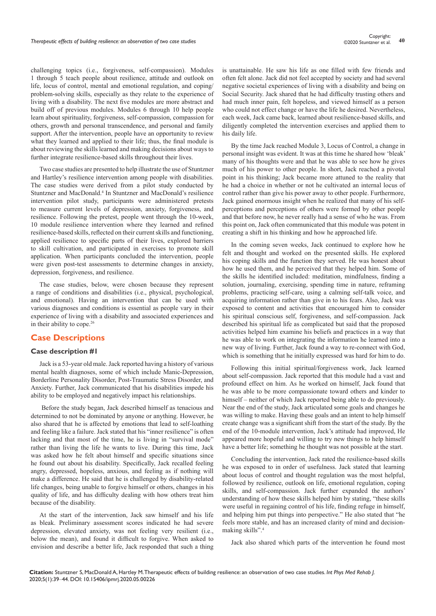challenging topics (i.e., forgiveness, self-compassion). Modules 1 through 5 teach people about resilience, attitude and outlook on life, locus of control, mental and emotional regulation, and coping/ problem-solving skills, especially as they relate to the experience of living with a disability. The next five modules are more abstract and build off of previous modules. Modules 6 through 10 help people learn about spirituality, forgiveness, self-compassion, compassion for others, growth and personal transcendence, and personal and family support. After the intervention, people have an opportunity to review what they learned and applied to their life; thus, the final module is about reviewing the skills learned and making decisions about ways to further integrate resilience-based skills throughout their lives.

Two case studies are presented to help illustrate the use of Stuntzner and Hartley's resilience intervention among people with disabilities. The case studies were derived from a pilot study conducted by Stuntzner and MacDonald.4 In Stuntzner and MacDonald's resilience intervention pilot study, participants were administered pretests to measure current levels of depression, anxiety, forgiveness, and resilience. Following the pretest, people went through the 10-week, 10 module resilience intervention where they learned and refined resilience-based skills, reflected on their current skills and functioning, applied resilience to specific parts of their lives, explored barriers to skill cultivation, and participated in exercises to promote skill application. When participants concluded the intervention, people were given post-test assessments to determine changes in anxiety, depression, forgiveness, and resilience.

The case studies, below, were chosen because they represent a range of conditions and disabilities (i.e., physical, psychological, and emotional). Having an intervention that can be used with various diagnoses and conditions is essential as people vary in their experience of living with a disability and associated experiences and in their ability to cope.<sup>26</sup>

# **Case Descriptions**

#### **Case description #1**

Jack is a 53-year old male. Jack reported having a history of various mental health diagnoses, some of which include Manic-Depression, Borderline Personality Disorder, Post-Traumatic Stress Disorder, and Anxiety. Further, Jack communicated that his disabilities impede his ability to be employed and negatively impact his relationships.

 Before the study began, Jack described himself as tenacious and determined to not be dominated by anyone or anything. However, he also shared that he is affected by emotions that lead to self-loathing and feeling like a failure. Jack stated that his "inner resilience" is often lacking and that most of the time, he is living in "survival mode" rather than living the life he wants to live. During this time, Jack was asked how he felt about himself and specific situations since he found out about his disability. Specifically, Jack recalled feeling angry, depressed, hopeless, anxious, and feeling as if nothing will make a difference. He said that he is challenged by disability-related life changes, being unable to forgive himself or others, changes in his quality of life, and has difficulty dealing with how others treat him because of the disability.

At the start of the intervention, Jack saw himself and his life as bleak. Preliminary assessment scores indicated he had severe depression, elevated anxiety, was not feeling very resilient (i.e., below the mean), and found it difficult to forgive. When asked to envision and describe a better life, Jack responded that such a thing is unattainable. He saw his life as one filled with few friends and often felt alone. Jack did not feel accepted by society and had several negative societal experiences of living with a disability and being on Social Security. Jack shared that he had difficulty trusting others and had much inner pain, felt hopeless, and viewed himself as a person who could not effect change or have the life he desired. Nevertheless, each week, Jack came back, learned about resilience-based skills, and diligently completed the intervention exercises and applied them to his daily life.

By the time Jack reached Module 3, Locus of Control, a change in personal insight was evident. It was at this time he shared how 'bleak' many of his thoughts were and that he was able to see how he gives much of his power to other people. In short, Jack reached a pivotal point in his thinking; Jack became more attuned to the reality that he had a choice in whether or not he cultivated an internal locus of control rather than give his power away to other people. Furthermore, Jack gained enormous insight when he realized that many of his selfperceptions and perceptions of others were formed by other people and that before now, he never really had a sense of who he was. From this point on, Jack often communicated that this module was potent in creating a shift in his thinking and how he approached life.

In the coming seven weeks, Jack continued to explore how he felt and thought and worked on the presented skills. He explored his coping skills and the function they served. He was honest about how he used them, and he perceived that they helped him. Some of the skills he identified included: meditation, mindfulness, finding a solution, journaling, exercising, spending time in nature, reframing problems, practicing self-care, using a calming self-talk voice, and acquiring information rather than give in to his fears. Also, Jack was exposed to content and activities that encouraged him to consider his spiritual conscious self, forgiveness, and self-compassion. Jack described his spiritual life as complicated but said that the proposed activities helped him examine his beliefs and practices in a way that he was able to work on integrating the information he learned into a new way of living. Further, Jack found a way to re-connect with God, which is something that he initially expressed was hard for him to do.

Following this initial spiritual/forgiveness work, Jack learned about self-compassion. Jack reported that this module had a vast and profound effect on him. As he worked on himself, Jack found that he was able to be more compassionate toward others and kinder to himself – neither of which Jack reported being able to do previously. Near the end of the study, Jack articulated some goals and changes he was willing to make. Having these goals and an intent to help himself create change was a significant shift from the start of the study. By the end of the 10-module intervention, Jack's attitude had improved, He appeared more hopeful and willing to try new things to help himself have a better life; something he thought was not possible at the start.

Concluding the intervention, Jack rated the resilience-based skills he was exposed to in order of usefulness. Jack stated that learning about locus of control and thought regulation was the most helpful, followed by resilience, outlook on life, emotional regulation, coping skills, and self-compassion. Jack further expanded the authors' understanding of how these skills helped him by stating, "these skills were useful in regaining control of his life, finding refuge in himself, and helping him put things into perspective." He also stated that "he feels more stable, and has an increased clarity of mind and decisionmaking skills".4

Jack also shared which parts of the intervention he found most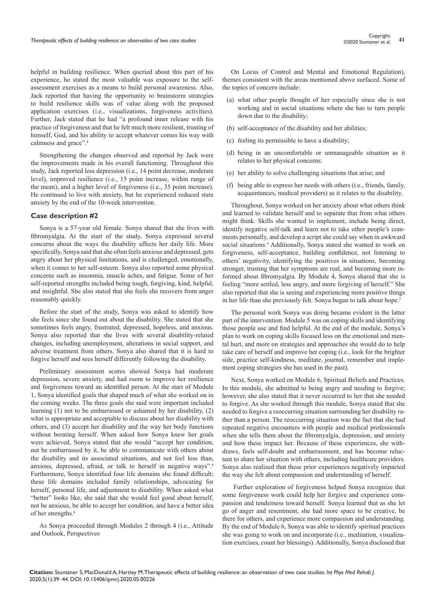helpful in building resilience. When queried about this part of his experience, he stated the most valuable was exposure to the selfassessment exercises as a means to build personal awareness. Also, Jack reported that having the opportunity to brainstorm strategies to build resilience skills was of value along with the proposed application exercises (i.e., visualizations, forgiveness activities). Further, Jack stated that he had "a profound inner release with his practice of forgiveness and that he felt much more resilient, trusting of himself, God, and his ability to accept whatever comes his way with calmness and grace".4

Strengthening the changes observed and reported by Jack were the improvements made in his overall functioning. Throughout this study, Jack reported less depression (i.e., 14 point decrease, moderate level), improved resilience (i.e., 15 point increase, within range of the mean), and a higher level of forgiveness (i.e., 35 point increase). He continued to live with anxiety, but he experienced reduced state anxiety by the end of the 10-week intervention.

#### **Case description #2**

Sonya is a 57-year old female. Sonya shared that she lives with fibromyalgia. At the start of the study, Sonya expressed several concerns about the ways the disability affects her daily life. More specifically, Sonya said that she often feels anxious and depressed, gets angry about her physical limitations, and is challenged, emotionally, when it comes to her self-esteem. Sonya also reported some physical concerns such as insomnia, muscle aches, and fatigue. Some of her self-reported strengths included being tough, forgiving, kind, helpful, and insightful. She also stated that she feels she recovers from anger reasonably quickly.

Before the start of the study, Sonya was asked to identify how she feels since she found out about the disability. She stated that she sometimes feels angry, frustrated, depressed, hopeless, and anxious. Sonya also reported that she lives with several disability-related changes, including unemployment, alterations in social support, and adverse treatment from others. Sonya also shared that it is hard to forgive herself and sees herself differently following the disability.

Preliminary assessment scores showed Sonya had moderate depression, severe anxiety, and had room to improve her resilience and forgiveness toward an identified person. At the start of Module 1, Sonya identified goals that shaped much of what she worked on in the coming weeks. The three goals she said were important included learning (1) not to be embarrassed or ashamed by her disability, (2) what is appropriate and acceptable to discuss about her disability with others, and (3) accept her disability and the way her body functions without berating herself. When asked how Sonya knew her goals were achieved, Sonya stated that she would "accept her condition, not be embarrassed by it, be able to communicate with others about the disability and its associated situations, and not feel less than, anxious, depressed, afraid, or talk to herself in negative ways".4 Furthermore, Sonya identified four life domains she found difficult; these life domains included family relationships, advocating for herself, personal life, and adjustment to disability. When asked what "better" looks like, she said that she would feel good about herself, not be anxious, be able to accept her condition, and have a better idea of her strengths.4

As Sonya proceeded through Modules 2 through 4 (i.e., Attitude and Outlook, Perspectives

On Locus of Control and Mental and Emotional Regulation), themes consistent with the areas mentioned above surfaced. Some of the topics of concern include:

- (a) what other people thought of her especially since she is not working and in social situations where she has to turn people down due to the disability;
- (b) self-acceptance of the disability and her abilities;
- (c) feeling its permissible to have a disability;
- (d) being in an uncomfortable or unmanageable situation as it relates to her physical concerns;
- (e) her ability to solve challenging situations that arise; and
- (f) being able to express her needs with others (i.e., friends, family, acquaintances, medical providers) as it relates to the disability.

Throughout, Sonya worked on her anxiety about what others think and learned to validate herself and to separate that from what others might think. Skills she wanted to implement, include being direct, identify negative self-talk and learn not to take other people's comments personally, and develop a script she could say when in awkward social situations.<sup>4</sup> Additionally, Sonya stated she wanted to work on forgiveness, self-acceptance, building confidence, not listening to others' negativity, identifying the positives in situations, becoming stronger, trusting that her symptoms are real, and becoming more informed about fibromyalgia. By Module 4, Sonya shared that she is feeling "more settled, less angry, and more forgiving of herself." She also reported that she is seeing and experiencing more positive things in her life than she previously felt. Sonya began to talk about hope.5

The personal work Sonya was doing became evident in the latter part of the intervention. Module 5 was on coping skills and identifying those people use and find helpful. At the end of the module, Sonya's plan to work on coping skills focused less on the emotional and mental hurt, and more on strategies and approaches she would do to help take care of herself and improve her coping (i.e., look for the brighter side, practice self-kindness, meditate, journal, remember and implement coping strategies she has used in the past).

Next, Sonya worked on Module 6, Spiritual Beliefs and Practices. In this module, she admitted to being angry and needing to forgive; however, she also stated that it never occurred to her that she needed to forgive. As she worked through this module, Sonya stated that she needed to forgive a reoccurring situation surrounding her disability rather than a person. The reoccurring situation was the fact that she had repeated negative encounters with people and medical professionals when she tells them about the fibromyalgia, depression, and anxiety and how these impact her. Because of these experiences, she withdraws, feels self-doubt and embarrassment, and has become reluctant to share her situation with others, including healthcare providers. Sonya also realized that these prior experiences negatively impacted the way she felt about compassion and understanding of herself.

 Further exploration of forgiveness helped Sonya recognize that some forgiveness work could help her forgive and experience compassion and tenderness toward herself. Sonya learned that as she let go of anger and resentment, she had more space to be creative, be there for others, and experience more compassion and understanding. By the end of Module 6, Sonya was able to identify spiritual practices she was going to work on and incorporate (i.e., meditation, visualization exercises, count her blessings). Additionally, Sonya disclosed that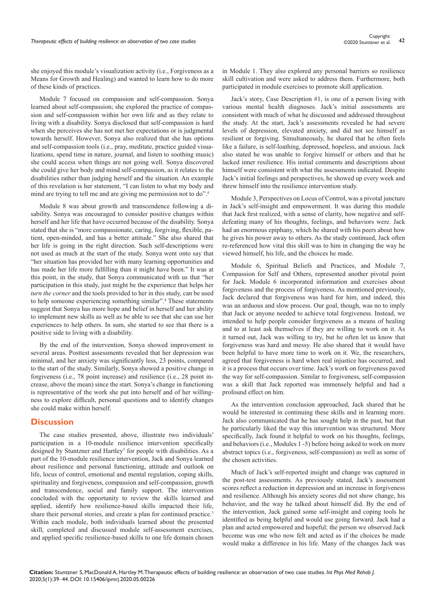she enjoyed this module's visualization activity (i.e., Forgiveness as a Means for Growth and Healing) and wanted to learn how to do more of these kinds of practices.

Module 7 focused on compassion and self-compassion. Sonya learned about self-compassion; she explored the practice of compassion and self-compassion within her own life and as they relate to living with a disability. Sonya disclosed that self-compassion is hard when she perceives she has not met her expectations or is judgmental towards herself. However, Sonya also realized that she has options and self-compassion tools (i.e., pray, meditate, practice guided visualizations, spend time in nature, journal, and listen to soothing music) she could access when things are not going well. Sonya discovered she could give her body and mind self-compassion, as it relates to the disabilities rather than judging herself and the situation. An example of this revelation is her statement, "I can listen to what my body and mind are trying to tell me and are giving me permission not to do".4

Module 8 was about growth and transcendence following a disability. Sonya was encouraged to consider positive changes within herself and her life that have occurred because of the disability. Sonya stated that she is "more compassionate, caring, forgiving, flexible, patient, open-minded, and has a better attitude." She also shared that her life is going in the right direction. Such self-descriptions were not used as much at the start of the study. Sonya went onto say that "her situation has provided her with many learning opportunities and has made her life more fulfilling than it might have been." It was at this point, in the study, that Sonya communicated with us that "her participation in this study, just might be the experience that helps her *turn the corner* and the tools provided to her in this study, can be used to help someone experiencing something similar".4 These statements suggest that Sonya has more hope and belief in herself and her ability to implement new skills as well as be able to see that she can use her experiences to help others. In sum, she started to see that there is a positive side to living with a disability.

By the end of the intervention, Sonya showed improvement in several areas. Posttest assessments revealed that her depression was minimal, and her anxiety was significantly less, 23 points, compared to the start of the study. Similarly, Sonya showed a positive change in forgiveness (i.e., 78 point increase) and resilience (i.e., 28 point increase, above the mean) since the start. Sonya's change in functioning is representative of the work she put into herself and of her willingness to explore difficult, personal questions and to identify changes she could make within herself.

# **Discussion**

The case studies presented, above, illustrate two individuals' participation in a 10-module resilience intervention specifically designed by Stuntzner and Hartley<sup>3</sup> for people with disabilities. As a part of the 10-module resilience intervention, Jack and Sonya learned about resilience and personal functioning, attitude and outlook on life, locus of control, emotional and mental regulation, coping skills, spirituality and forgiveness, compassion and self-compassion, growth and transcendence, social and family support. The intervention concluded with the opportunity to review the skills learned and applied, identify how resilience-based skills impacted their life, share their personal stories, and create a plan for continued practice.<sup>3</sup> Within each module, both individuals learned about the presented skill, completed and discussed module self-assessment exercises, and applied specific resilience-based skills to one life domain chosen

in Module 1. They also explored any personal barriers so resilience skill cultivation and were asked to address them. Furthermore, both participated in module exercises to promote skill application.

Jack's story, Case Description #1, is one of a person living with various mental health diagnoses. Jack's initial assessments are consistent with much of what he discussed and addressed throughout the study. At the start, Jack's assessments revealed he had severe levels of depression, elevated anxiety, and did not see himself as resilient or forgiving. Simultaneously, he shared that he often feels like a failure, is self-loathing, depressed, hopeless, and anxious. Jack also stated he was unable to forgive himself or others and that he lacked inner resilience. His initial comments and descriptions about himself were consistent with what the assessments indicated. Despite Jack's initial feelings and perspectives, he showed up every week and threw himself into the resilience intervention study.

Module 3, Perspectives on Locus of Control, was a pivotal juncture in Jack's self-insight and empowerment. It was during this module that Jack first realized, with a sense of clarity, how negative and selfdefeating many of his thoughts, feelings, and behaviors were. Jack had an enormous epiphany, which he shared with his peers about how he gives his power away to others. As the study continued, Jack often re-referenced how vital this skill was to him in changing the way he viewed himself, his life, and the choices he made.

Module 6, Spiritual Beliefs and Practices, and Module 7, Compassion for Self and Others, represented another pivotal point for Jack. Module 6 incorporated information and exercises about forgiveness and the process of forgiveness. As mentioned previously, Jack declared that forgiveness was hard for him, and indeed, this was an arduous and slow process. Our goal, though, was no to imply that Jack or anyone needed to achieve total forgiveness. Instead, we intended to help people consider forgiveness as a means of healing and to at least ask themselves if they are willing to work on it. As it turned out, Jack was willing to try, but he often let us know that forgiveness was hard and messy. He also shared that it would have been helpful to have more time to work on it. We, the researchers, agreed that forgiveness is hard when real injustice has occurred, and it is a process that occurs over time. Jack's work on forgiveness paved the way for self-compassion. Similar to forgiveness, self-compassion was a skill that Jack reported was immensely helpful and had a profound effect on him.

As the intervention conclusion approached, Jack shared that he would be interested in continuing these skills and in learning more. Jack also communicated that he has sought help in the past, but that he particularly liked the way this intervention was structured. More specifically, Jack found it helpful to work on his thoughts, feelings, and behaviors (i.e., Modules 1 -5) before being asked to work on more abstract topics (i.e., forgiveness, self-compassion) as well as some of the chosen activities.

Much of Jack's self-reported insight and change was captured in the post-test assessments. As previously stated, Jack's assessment scores reflect a reduction in depression and an increase in forgiveness and resilience. Although his anxiety scores did not show change, his behavior, and the way he talked about himself did. By the end of the intervention, Jack gained some self-insight and coping tools he identified as being helpful and would use going forward. Jack had a plan and acted empowered and hopeful; the person we observed Jack become was one who now felt and acted as if the choices he made would make a difference in his life. Many of the changes Jack was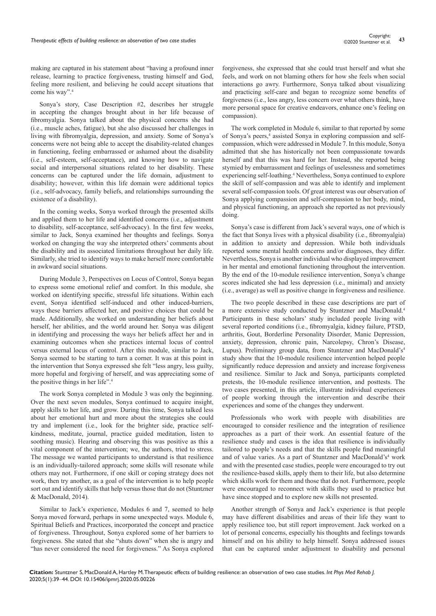making are captured in his statement about "having a profound inner release, learning to practice forgiveness, trusting himself and God, feeling more resilient, and believing he could accept situations that come his way".4

Sonya's story, Case Description #2, describes her struggle in accepting the changes brought about in her life because of fibromyalgia. Sonya talked about the physical concerns she had (i.e., muscle aches, fatigue), but she also discussed her challenges in living with fibromyalgia, depression, and anxiety. Some of Sonya's concerns were not being able to accept the disability-related changes in functioning, feeling embarrassed or ashamed about the disability (i.e., self-esteem, self-acceptance), and knowing how to navigate social and interpersonal situations related to her disability. These concerns can be captured under the life domain, adjustment to disability; however, within this life domain were additional topics (i.e., self-advocacy, family beliefs, and relationships surrounding the existence of a disability).

In the coming weeks, Sonya worked through the presented skills and applied them to her life and identified concerns (i.e., adjustment to disability, self-acceptance, self-advocacy). In the first few weeks, similar to Jack, Sonya examined her thoughts and feelings. Sonya worked on changing the way she interpreted others' comments about the disability and its associated limitations throughout her daily life. Similarly, she tried to identify ways to make herself more comfortable in awkward social situations.

During Module 3, Perspectives on Locus of Control, Sonya began to express some emotional relief and comfort. In this module, she worked on identifying specific, stressful life situations. Within each event, Sonya identified self-induced and other induced-barriers, ways these barriers affected her, and positive choices that could be made. Additionally, she worked on understanding her beliefs about herself, her abilities, and the world around her. Sonya was diligent in identifying and processing the ways her beliefs affect her and in examining outcomes when she practices internal locus of control versus external locus of control. After this module, similar to Jack, Sonya seemed to be starting to turn a corner. It was at this point in the intervention that Sonya expressed she felt "less angry, less guilty, more hopeful and forgiving of herself, and was appreciating some of the positive things in her life".4

The work Sonya completed in Module 3 was only the beginning. Over the next seven modules, Sonya continued to acquire insight, apply skills to her life, and grow. During this time, Sonya talked less about her emotional hurt and more about the strategies she could try and implement (i.e., look for the brighter side, practice selfkindness, meditate, journal, practice guided meditation, listen to soothing music). Hearing and observing this was positive as this a vital component of the intervention; we, the authors, tried to stress. The message we wanted participants to understand is that resilience is an individually-tailored approach; some skills will resonate while others may not. Furthermore, if one skill or coping strategy does not work, then try another, as a goal of the intervention is to help people sort out and identify skills that help versus those that do not (Stuntzner & MacDonald, 2014).

Similar to Jack's experience, Modules 6 and 7, seemed to help Sonya moved forward, perhaps in some unexpected ways. Module 6, Spiritual Beliefs and Practices, incorporated the concept and practice of forgiveness. Throughout, Sonya explored some of her barriers to forgiveness. She stated that she "shuts down" when she is angry and "has never considered the need for forgiveness." As Sonya explored

forgiveness, she expressed that she could trust herself and what she feels, and work on not blaming others for how she feels when social interactions go awry. Furthermore, Sonya talked about visualizing and practicing self-care and began to recognize some benefits of forgiveness (i.e., less angry, less concern over what others think, have more personal space for creative endeavors, enhance one's feeling on compassion).

The work completed in Module 6, similar to that reported by some of Sonya's peers,<sup>4</sup> assisted Sonya in exploring compassion and selfcompassion, which were addressed in Module 7. In this module, Sonya admitted that she has historically not been compassionate towards herself and that this was hard for her. Instead, she reported being stymied by embarrassment and feelings of uselessness and sometimes experiencing self-loathing.<sup>4</sup> Nevertheless, Sonya continued to explore the skill of self-compassion and was able to identify and implement several self-compassion tools. Of great interest was our observation of Sonya applying compassion and self-compassion to her body, mind, and physical functioning, an approach she reported as not previously doing.

Sonya's case is different from Jack's several ways, one of which is the fact that Sonya lives with a physical disability (i.e., fibromyalgia) in addition to anxiety and depression. While both individuals reported some mental health concerns and/or diagnoses, they differ. Nevertheless, Sonya is another individual who displayed improvement in her mental and emotional functioning throughout the intervention. By the end of the 10-module resilience intervention, Sonya's change scores indicated she had less depression (i.e., minimal) and anxiety (i.e., average) as well as positive change in forgiveness and resilience.

The two people described in these case descriptions are part of a more extensive study conducted by Stuntzner and MacDonald.4 Participants in these scholars' study included people living with several reported conditions (i.e., fibromyalgia, kidney failure, PTSD, arthritis, Gout, Borderline Personality Disorder, Manic Depression, anxiety, depression, chronic pain, Narcolepsy, Chron's Disease, Lupus). Preliminary group data, from Stuntzner and MacDonald's<sup>4</sup> study show that the 10-module resilience intervention helped people significantly reduce depression and anxiety and increase forgiveness and resilience. Similar to Jack and Sonya, participants completed pretests, the 10-module resilience intervention, and posttests. The two cases presented, in this article, illustrate individual experiences of people working through the intervention and describe their experiences and some of the changes they underwent.

Professionals who work with people with disabilities are encouraged to consider resilience and the integration of resilience approaches as a part of their work. An essential feature of the resilience study and cases is the idea that resilience is individually tailored to people's needs and that the skills people find meaningful and of value varies. As a part of Stuntzner and MacDonald's<sup>4</sup> work and with the presented case studies, people were encouraged to try out the resilience-based skills, apply them to their life, but also determine which skills work for them and those that do not. Furthermore, people were encouraged to reconnect with skills they used to practice but have since stopped and to explore new skills not presented.

Another strength of Sonya and Jack's experience is that people may have different disabilities and areas of their life they want to apply resilience too, but still report improvement. Jack worked on a lot of personal concerns, especially his thoughts and feelings towards himself and on his ability to help himself. Sonya addressed issues that can be captured under adjustment to disability and personal